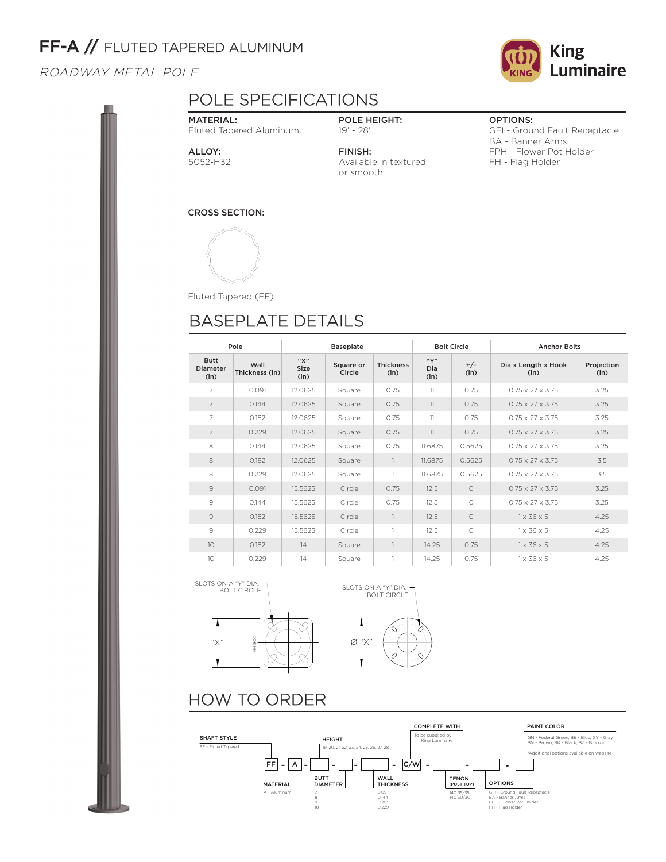# FF-A // FLUTED TAPERED ALUMINUM

## ROADWAY METAL POLE

### **King** Luminaire **CING**

# POLE SPECIFICATIONS

MATERIAL: Fluted Tapered Aluminum

POLE HEIGHT: 19' - 28'

ALLOY: 5052-H32

FINISH: Available in textured or smooth.

OPTIONS:

GFI - Ground Fault Receptacle BA - Banner Arms FPH - Flower Pot Holder FH - Flag Holder

CROSS SECTION:



Fluted Tapered (FF)

# BASEPLATE DETAILS

| Pole                                   |                        |                            | <b>Baseplate</b>    |                          | <b>Bolt Circle</b>  |               | <b>Anchor Bolts</b>          |                    |  |
|----------------------------------------|------------------------|----------------------------|---------------------|--------------------------|---------------------|---------------|------------------------------|--------------------|--|
| <b>Butt</b><br><b>Diameter</b><br>(in) | Wall<br>Thickness (in) | "Х"<br><b>Size</b><br>(in) | Square or<br>Circle | <b>Thickness</b><br>(in) | ``Y"<br>Dia<br>(in) | $+/-$<br>(in) | Dia x Length x Hook<br>(in)  | Projection<br>(in) |  |
| 7                                      | 0.091                  | 12.0625                    | Square              | 0.75                     | 11                  | 0.75          | $0.75 \times 27 \times 3.75$ | 3.25               |  |
| $\overline{7}$                         | 0.144                  | 12.0625                    | Square              | 0.75                     | 11                  | 0.75          | $0.75 \times 27 \times 3.75$ | 3.25               |  |
| 7                                      | 0.182                  | 12.0625                    | Square              | 0.75                     | 11                  | 0.75          | $0.75 \times 27 \times 3.75$ | 3.25               |  |
| $\overline{7}$                         | 0.229                  | 12.0625                    | Square              | 0.75                     | 11                  | 0.75          | $0.75 \times 27 \times 3.75$ | 3.25               |  |
| 8                                      | 0.144                  | 12.0625                    | Square              | 0.75                     | 11.6875             | 0.5625        | $0.75 \times 27 \times 3.75$ | 3.25               |  |
| 8                                      | 0.182                  | 12.0625                    | Square              | $\overline{1}$           | 11.6875             | 0.5625        | $0.75 \times 27 \times 3.75$ | 3.5                |  |
| 8                                      | 0.229                  | 12.0625                    | Square              | -1                       | 11.6875             | 0.5625        | $0.75 \times 27 \times 3.75$ | 3.5                |  |
| $\circ$                                | 0.091                  | 15.5625                    | Circle              | 0.75                     | 12.5                | $\circ$       | $0.75 \times 27 \times 3.75$ | 3.25               |  |
| 9                                      | 0.144                  | 15.5625                    | Circle              | 0.75                     | 12.5                | $\Omega$      | $0.75 \times 27 \times 3.75$ | 3.25               |  |
| 9                                      | 0.182                  | 15.5625                    | Circle              | $\overline{1}$           | 12.5                | $\Omega$      | $1 \times 36 \times 5$       | 4.25               |  |
| 9                                      | 0.229                  | 15.5625                    | Circle              | $\mathbf{1}$             | 12.5                | $\circ$       | $1 \times 36 \times 5$       | 4.25               |  |
| 10                                     | 0.182                  | 14                         | Square              | $\mathbf{1}$             | 14.25               | 0.75          | $1 \times 36 \times 5$       | 4.25               |  |
| 10                                     | 0.229                  | 14                         | Square              | 1                        | 14.25               | 0.75          | $1 \times 36 \times 5$       | 4.25               |  |





# HOW TO ORDER

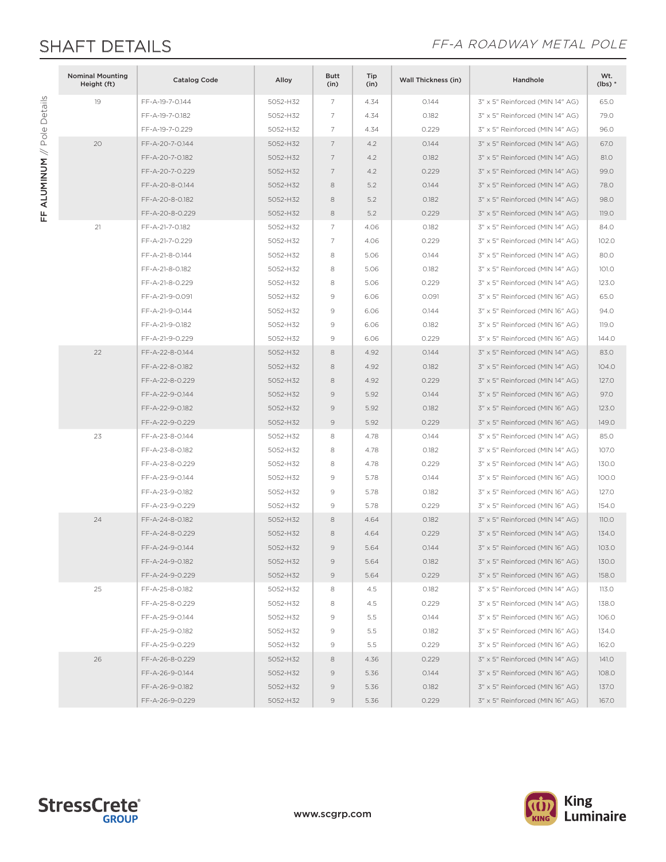FF ALUMINUM // Pole Details

FF ALUMINUM // Pole Details

## SHAFT DETAILS **SHAFT DETAILS**

| <b>Nominal Mounting</b><br>Height (ft) | <b>Catalog Code</b> | Alloy    | <b>Butt</b><br>(in) | Tip<br>(in) | <b>Wall Thickness (in)</b> | Handhole                        | Wt.<br>$(lbs)*$ |
|----------------------------------------|---------------------|----------|---------------------|-------------|----------------------------|---------------------------------|-----------------|
| 19                                     | FF-A-19-7-0.144     | 5052-H32 | $\overline{7}$      | 4.34        | 0.144                      | 3" x 5" Reinforced (MIN 14" AG) | 65.0            |
|                                        | FF-A-19-7-0.182     | 5052-H32 | 7                   | 4.34        | 0.182                      | 3" x 5" Reinforced (MIN 14" AG) | 79.0            |
|                                        | FF-A-19-7-0.229     | 5052-H32 | $\overline{7}$      | 4.34        | 0.229                      | 3" x 5" Reinforced (MIN 14" AG) | 96.0            |
| 20                                     | FF-A-20-7-0.144     | 5052-H32 | 7                   | 4.2         | 0.144                      | 3" x 5" Reinforced (MIN 14" AG) | 67.0            |
|                                        | FF-A-20-7-0.182     | 5052-H32 | $\overline{7}$      | 4.2         | 0.182                      | 3" x 5" Reinforced (MIN 14" AG) | 81.0            |
|                                        | FF-A-20-7-0.229     | 5052-H32 | 7                   | 4.2         | 0.229                      | 3" x 5" Reinforced (MIN 14" AG) | 99.0            |
|                                        | FF-A-20-8-0.144     | 5052-H32 | 8                   | 5.2         | 0.144                      | 3" x 5" Reinforced (MIN 14" AG) | 78.0            |
|                                        | FF-A-20-8-0.182     | 5052-H32 | 8                   | 5.2         | 0.182                      | 3" x 5" Reinforced (MIN 14" AG) | 98.0            |
|                                        | FF-A-20-8-0.229     | 5052-H32 | 8                   | 5.2         | 0.229                      | 3" x 5" Reinforced (MIN 14" AG) | 119.0           |
| 21                                     | FF-A-21-7-0.182     | 5052-H32 | 7                   | 4.06        | 0.182                      | 3" x 5" Reinforced (MIN 14" AG) | 84.0            |
|                                        | FF-A-21-7-0.229     | 5052-H32 | $\overline{7}$      | 4.06        | 0.229                      | 3" x 5" Reinforced (MIN 14" AG) | 102.0           |
|                                        | FF-A-21-8-0.144     | 5052-H32 | 8                   | 5.06        | 0.144                      | 3" x 5" Reinforced (MIN 14" AG) | 80.0            |
|                                        | FF-A-21-8-0.182     | 5052-H32 | 8                   | 5.06        | 0.182                      | 3" x 5" Reinforced (MIN 14" AG) | 101.0           |
|                                        | FF-A-21-8-0.229     | 5052-H32 | 8                   | 5.06        | 0.229                      | 3" x 5" Reinforced (MIN 14" AG) | 123.0           |
|                                        | FF-A-21-9-0.091     | 5052-H32 | 9                   | 6.06        | 0.091                      | 3" x 5" Reinforced (MIN 16" AG) | 65.0            |
|                                        | FF-A-21-9-0.144     | 5052-H32 | 9                   | 6.06        | 0.144                      | 3" x 5" Reinforced (MIN 16" AG) | 94.0            |
|                                        | FF-A-21-9-0.182     | 5052-H32 | 9                   | 6.06        | 0.182                      | 3" x 5" Reinforced (MIN 16" AG) | 119.0           |
|                                        | FF-A-21-9-0.229     | 5052-H32 | $\mathcal{G}$       | 6.06        | 0.229                      | 3" x 5" Reinforced (MIN 16" AG) | 144.0           |
| 22                                     | FF-A-22-8-0.144     | 5052-H32 | 8                   | 4.92        | 0.144                      | 3" x 5" Reinforced (MIN 14" AG) | 83.0            |
|                                        | FF-A-22-8-0.182     | 5052-H32 | 8                   | 4.92        | 0.182                      | 3" x 5" Reinforced (MIN 14" AG) | 104.0           |
|                                        | FF-A-22-8-0.229     | 5052-H32 | 8                   | 4.92        | 0.229                      | 3" x 5" Reinforced (MIN 14" AG) | 127.0           |
|                                        | FF-A-22-9-0.144     | 5052-H32 | $\mathcal{G}$       | 5.92        | 0.144                      | 3" x 5" Reinforced (MIN 16" AG) | 97.0            |
|                                        | FF-A-22-9-0.182     | 5052-H32 | $\overline{9}$      | 5.92        | 0.182                      | 3" x 5" Reinforced (MIN 16" AG) | 123.0           |
|                                        | FF-A-22-9-0.229     | 5052-H32 | $\mathcal{Q}$       | 5.92        | 0.229                      | 3" x 5" Reinforced (MIN 16" AG) | 149.0           |
| 23                                     | FF-A-23-8-0.144     | 5052-H32 | 8                   | 4.78        | 0.144                      | 3" x 5" Reinforced (MIN 14" AG) | 85.0            |
|                                        | FF-A-23-8-0.182     | 5052-H32 | 8                   | 4.78        | 0.182                      | 3" x 5" Reinforced (MIN 14" AG) | 107.0           |
|                                        | FF-A-23-8-0.229     | 5052-H32 | 8                   | 4.78        | 0.229                      | 3" x 5" Reinforced (MIN 14" AG) | 130.0           |
|                                        | FF-A-23-9-0.144     | 5052-H32 | 9                   | 5.78        | 0.144                      | 3" x 5" Reinforced (MIN 16" AG) | 100.0           |
|                                        | FF-A-23-9-0.182     | 5052-H32 | $\mathcal{G}$       | 5.78        | 0.182                      | 3" x 5" Reinforced (MIN 16" AG) | 127.0           |
|                                        | FF-A-23-9-0.229     | 5052-H32 | 9                   | 5.78        | 0.229                      | 3" x 5" Reinforced (MIN 16" AG) | 154.0           |
| 24                                     | FF-A-24-8-0.182     | 5052-H32 | 8                   | 4.64        | 0.182                      | 3" x 5" Reinforced (MIN 14" AG) | 110.0           |
|                                        | FF-A-24-8-0.229     | 5052-H32 | 8                   | 4.64        | 0.229                      | 3" x 5" Reinforced (MIN 14" AG) | 134.0           |
|                                        | FF-A-24-9-0.144     | 5052-H32 | $\mathcal{Q}$       | 5.64        | 0.144                      | 3" x 5" Reinforced (MIN 16" AG) | 103.0           |
|                                        | FF-A-24-9-0.182     | 5052-H32 | $\circ$             | 5.64        | 0.182                      | 3" x 5" Reinforced (MIN 16" AG) | 130.0           |
|                                        | FF-A-24-9-0.229     | 5052-H32 | 9                   | 5.64        | 0.229                      | 3" x 5" Reinforced (MIN 16" AG) | 158.0           |
| 25                                     | FF-A-25-8-0.182     | 5052-H32 | 8                   | 4.5         | 0.182                      | 3" x 5" Reinforced (MIN 14" AG) | 113.0           |
|                                        | FF-A-25-8-0.229     | 5052-H32 | 8                   | 4.5         | 0.229                      | 3" x 5" Reinforced (MIN 14" AG) | 138.0           |
|                                        | FF-A-25-9-0.144     | 5052-H32 | 9                   | 5.5         | 0.144                      | 3" x 5" Reinforced (MIN 16" AG) | 106.0           |
|                                        | FF-A-25-9-0.182     | 5052-H32 | 9                   | 5.5         | 0.182                      | 3" x 5" Reinforced (MIN 16" AG) | 134.0           |
|                                        | FF-A-25-9-0.229     | 5052-H32 | 9                   | 5.5         | 0.229                      | 3" x 5" Reinforced (MIN 16" AG) | 162.0           |
| 26                                     | FF-A-26-8-0.229     | 5052-H32 | 8                   | 4.36        | 0.229                      | 3" x 5" Reinforced (MIN 14" AG) | 141.O           |
|                                        | FF-A-26-9-0.144     | 5052-H32 | 9                   | 5.36        | 0.144                      | 3" x 5" Reinforced (MIN 16" AG) | 108.0           |
|                                        | FF-A-26-9-0.182     | 5052-H32 | $\mathcal{Q}$       | 5.36        | 0.182                      | 3" x 5" Reinforced (MIN 16" AG) | 137.0           |
|                                        | FF-A-26-9-0.229     | 5052-H32 | $\circ$             | 5.36        | 0.229                      | 3" x 5" Reinforced (MIN 16" AG) | 167.0           |

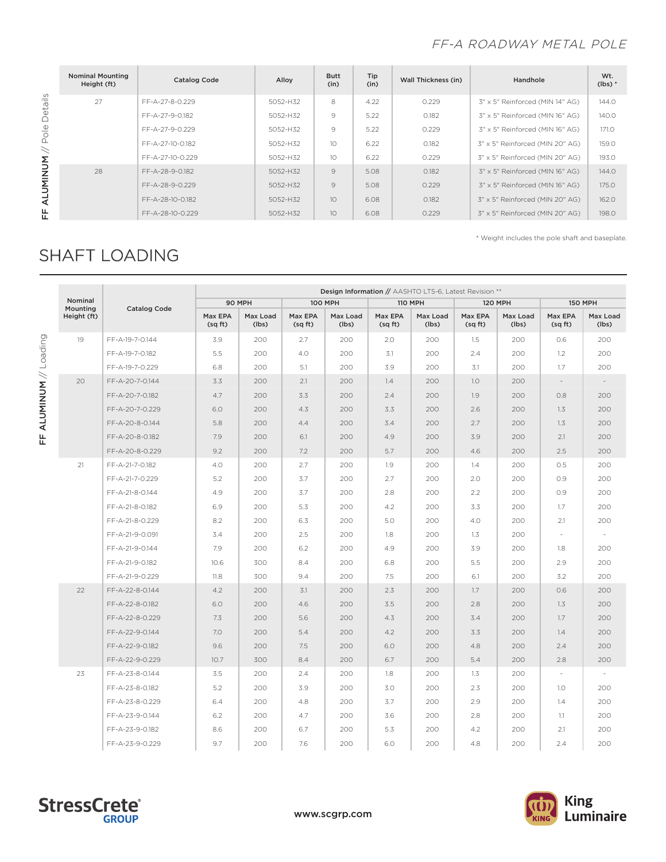## FF-A ROADWAY METAL POLE

|                      | <b>Nominal Mounting</b><br>Height (ft) | <b>Catalog Code</b> | Alloy    | <b>Butt</b><br>(in) | Tip<br>(in) | Wall Thickness (in) | Handhole                        | Wt.<br>$(lbs)*$ |
|----------------------|----------------------------------------|---------------------|----------|---------------------|-------------|---------------------|---------------------------------|-----------------|
| Details              | 27                                     | FF-A-27-8-0.229     | 5052-H32 | 8                   | 4.22        | 0.229               | 3" x 5" Reinforced (MIN 14" AG) | 144.0           |
|                      |                                        | FF-A-27-9-0.182     | 5052-H32 | 9                   | 5.22        | 0.182               | 3" x 5" Reinforced (MIN 16" AG) | 140.0           |
| $\frac{1}{\sqrt{2}}$ |                                        | FF-A-27-9-0.229     | 5052-H32 | 9                   | 5.22        | 0.229               | 3" x 5" Reinforced (MIN 16" AG) | 171.0           |
| $\prec$              |                                        | FF-A-27-10-0.182    | 5052-H32 | 10                  | 6.22        | 0.182               | 3" x 5" Reinforced (MIN 20" AG) | 159.0           |
|                      |                                        | FF-A-27-10-0.229    | 5052-H32 | 10                  | 6.22        | 0.229               | 3" x 5" Reinforced (MIN 20" AG) | 193.0           |
| <b>NUM</b>           | 28                                     | FF-A-28-9-0.182     | 5052-H32 | $\mathcal{Q}$       | 5.08        | 0.182               | 3" x 5" Reinforced (MIN 16" AG) | 144.0           |
| <b>ALUMI</b>         |                                        | FF-A-28-9-0.229     | 5052-H32 | $\mathcal{Q}$       | 5.08        | 0.229               | 3" x 5" Reinforced (MIN 16" AG) | 175.0           |
|                      |                                        | FF-A-28-10-0.182    | 5052-H32 | 10                  | 6.08        | 0.182               | 3" x 5" Reinforced (MIN 20" AG) | 162.0           |
| 뚠                    |                                        | FF-A-28-10-0.229    | 5052-H32 | 10                  | 6.08        | 0.229               | 3" x 5" Reinforced (MIN 20" AG) | 198.0           |

\* Weight includes the pole shaft and baseplate.

# SHAFT LOADING

|                     |                     |                   |                   |                    | Design Information // AASHTO LTS-6, Latest Revision ** |                   |                   |                    |                   |                          |                   |
|---------------------|---------------------|-------------------|-------------------|--------------------|--------------------------------------------------------|-------------------|-------------------|--------------------|-------------------|--------------------------|-------------------|
| Nominal<br>Mounting | <b>Catalog Code</b> |                   | 90 MPH            |                    | <b>100 MPH</b>                                         |                   | <b>110 MPH</b>    | <b>120 MPH</b>     |                   | <b>150 MPH</b>           |                   |
| Height (ft)         |                     | Max EPA<br>(sqft) | Max Load<br>(lbs) | Max EPA<br>(sq ft) | Max Load<br>(lbs)                                      | Max EPA<br>(sqft) | Max Load<br>(lbs) | Max EPA<br>(sq ft) | Max Load<br>(lbs) | Max EPA<br>(sq ft)       | Max Load<br>(lbs) |
| 19                  | FF-A-19-7-0.144     | 3.9               | 200               | 2.7                | 200                                                    | 2.0               | 200               | 1.5                | 200               | 0.6                      | 200               |
|                     | FF-A-19-7-0.182     | 5.5               | 200               | 4.0                | 200                                                    | 3.1               | 200               | 2.4                | 200               | 1.2                      | 200               |
|                     | FF-A-19-7-0.229     | 6.8               | 200               | 5.1                | 200                                                    | 3.9               | 200               | 3.1                | 200               | 1.7                      | 200               |
| 20                  | FF-A-20-7-0.144     | 3.3               | 200               | 2.1                | 200                                                    | 1.4               | 200               | 1.0                | 200               | $\overline{\phantom{a}}$ | $\sim$            |
|                     | FF-A-20-7-0.182     | 4.7               | 200               | 3.3                | 200                                                    | 2.4               | 200               | 1.9                | 200               | 0.8                      | 200               |
|                     | FF-A-20-7-0.229     | 6.0               | 200               | 4.3                | 200                                                    | 3.3               | 200               | 2.6                | 200               | 1.3                      | 200               |
|                     | FF-A-20-8-0.144     | 5.8               | 200               | 4.4                | 200                                                    | 3.4               | 200               | 2.7                | 200               | 1.3                      | 200               |
|                     | FF-A-20-8-0.182     | 7.9               | 200               | 6.1                | 200                                                    | 4.9               | 200               | 3.9                | 200               | 2.1                      | 200               |
|                     | FF-A-20-8-0.229     | 9.2               | 200               | 7.2                | 200                                                    | 5.7               | 200               | 4.6                | 200               | 2.5                      | 200               |
| 21                  | FF-A-21-7-0.182     | 4.0               | 200               | 2.7                | 200                                                    | 1.9               | 200               | 1.4                | 200               | 0.5                      | 200               |
|                     | FF-A-21-7-0.229     | 5.2               | 200               | 3.7                | 200                                                    | 2.7               | 200               | 2.0                | 200               | 0.9                      | 200               |
|                     | FF-A-21-8-0.144     | 4.9               | 200               | 3.7                | 200                                                    | 2.8               | 200               | 2.2                | 200               | 0.9                      | 200               |
|                     | FF-A-21-8-0.182     | 6.9               | 200               | 5.3                | 200                                                    | 4.2               | 200               | 3.3                | 200               | 1.7                      | 200               |
|                     | FF-A-21-8-0.229     | 8.2               | 200               | 6.3                | 200                                                    | 5.0               | 200               | 4.0                | 200               | 2.1                      | 200               |
|                     | FF-A-21-9-0.091     | 3.4               | 200               | 2.5                | 200                                                    | 1.8               | 200               | 1.3                | 200               | $\overline{\phantom{a}}$ | $\sim$            |
|                     | FF-A-21-9-0.144     | 7.9               | 200               | 6.2                | 200                                                    | 4.9               | 200               | 3.9                | 200               | 1.8                      | 200               |
|                     | FF-A-21-9-0.182     | 10.6              | 300               | 8.4                | 200                                                    | 6.8               | 200               | 5.5                | 200               | 2.9                      | 200               |
|                     | FF-A-21-9-0.229     | 11.8              | 300               | 9.4                | 200                                                    | 7.5               | 200               | 6.1                | 200               | 3.2                      | 200               |
| 22                  | FF-A-22-8-0.144     | 4.2               | 200               | 3.1                | 200                                                    | 2.3               | 200               | 1.7                | 200               | 0.6                      | 200               |
|                     | FF-A-22-8-0.182     | 6.0               | 200               | 4.6                | 200                                                    | 3.5               | 200               | 2.8                | 200               | 1.3                      | 200               |
|                     | FF-A-22-8-0.229     | 7.3               | 200               | 5.6                | 200                                                    | 4.3               | 200               | 3.4                | 200               | 1.7                      | 200               |
|                     | FF-A-22-9-0.144     | 7.0               | 200               | 5.4                | 200                                                    | 4.2               | 200               | 3.3                | 200               | 1.4                      | 200               |
|                     | FF-A-22-9-0.182     | 9.6               | 200               | 7.5                | 200                                                    | 6.0               | 200               | 4.8                | 200               | 2.4                      | 200               |
|                     | FF-A-22-9-0.229     | 10.7              | 300               | 8.4                | 200                                                    | 6.7               | 200               | 5.4                | 200               | 2.8                      | 200               |
| 23                  | FF-A-23-8-0.144     | 3.5               | 200               | 2.4                | 200                                                    | 1.8               | 200               | 1.3                | 200               | $\overline{\phantom{a}}$ |                   |
|                     | FF-A-23-8-0.182     | 5.2               | 200               | 3.9                | 200                                                    | 3.0               | 200               | 2.3                | 200               | 1.0                      | 200               |
|                     | FF-A-23-8-0.229     | 6.4               | 200               | 4.8                | 200                                                    | 3.7               | 200               | 2.9                | 200               | 1.4                      | 200               |
|                     | FF-A-23-9-0.144     | 6.2               | 200               | 4.7                | 200                                                    | 3.6               | 200               | 2.8                | 200               | 1.1                      | 200               |
|                     | FF-A-23-9-0.182     | 8.6               | 200               | 6.7                | 200                                                    | 5.3               | 200               | 4.2                | 200               | 2.1                      | 200               |
|                     | FF-A-23-9-0.229     | 9.7               | 200               | 7.6                | 200                                                    | 6.0               | 200               | 4.8                | 200               | 2.4                      | 200               |





FF ALUMINUM // Loading **FF ALUMINUM // <code>Loading</code>**